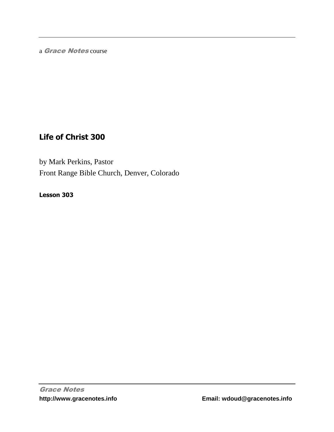a Grace Notes course

# **Life of Christ 300**

by Mark Perkins, Pastor Front Range Bible Church, Denver, Colorado

**Lesson 303**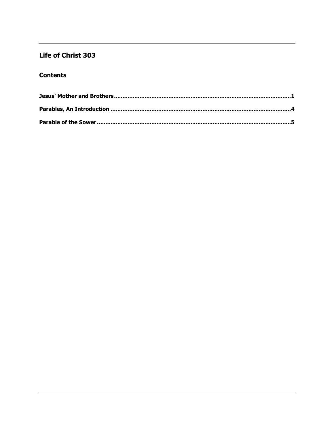# Life of Christ 303

# **Contents**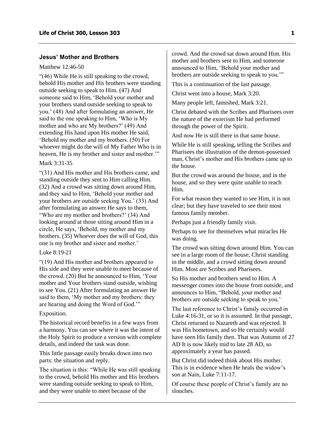## <span id="page-2-0"></span>**Jesus' Mother and Brothers**

#### Matthew 12:46-50

"(46) While He is still speaking to the crowd, behold His mother and His brothers were standing outside seeking to speak to Him. (47) And someone said to Him, 'Behold your mother and your brothers stand outside seeking to speak to you.' (48) And after formulating an answer, He said to the one speaking to Him, 'Who is My mother and who are My brothers?' (49) And extending His hand upon His mother He said, 'Behold my mother and my brothers. (50) For whoever might do the will of My Father Who is in heaven, He is my brother and sister and mother."

#### Mark 3:31-35

"(31) And His mother and His brothers came, and standing outside they sent to Him calling Him. (32) And a crowd was sitting down around Him, and they said to Him, 'Behold your mother and your brothers are outside seeking You.' (33) And after formulating an answer He says to them, "Who are my mother and brothers?' (34) And looking around at those sitting around Him in a circle, He says, 'Behold, my mother and my brothers. (35) Whoever does the will of God, this one is my brother and sister and mother.'

#### Luke 8:19-21

"(19) And His mother and brothers appeared to His side and they were unable to meet because of the crowd. (20) But he announced to Him, 'Your mother and Your brothers stand outside, wishing to see You. (21) After formulating an answer He said to them, 'My mother and my brothers: they are hearing and doing the Word of God.'"

#### Exposition.

The historical record benefits in a few ways from a harmony. You can see where it was the intent of the Holy Spirit to produce a version with complete details, and indeed the task was done.

This little passage easily breaks down into two parts: the situation and reply.

The situation is this: "While He was still speaking to the crowd, behold His mother and His brothers were standing outside seeking to speak to Him, and they were unable to meet because of the

crowd. And the crowd sat down around Him. His mother and brothers sent to Him, and someone announced to Him, 'Behold your mother and brothers are outside seeking to speak to you.'"

This is a continuation of the last passage.

Christ went into a house, Mark 3:20.

Many people left, famished, Mark 3:21.

Christ debated with the Scribes and Pharisees over the nature of the exorcism He had performed through the power of the Spirit.

And now He is still there in that same house.

While He is still speaking, telling the Scribes and Pharisees the illustration of the demon-possessed man, Christ's mother and His brothers came up to the house.

But the crowd was around the house, and in the house, and so they were quite unable to reach Him.

For what reason they wanted to see Him, it is not clear; but they have traveled to see their most famous family member.

Perhaps just a friendly family visit.

Perhaps to see for themselves what miracles He was doing.

The crowd was sitting down around Him. You can see in a large room of the house, Christ standing in the middle, and a crowd sitting down around Him. Most are Scribes and Pharisees.

So His mother and brothers send to Him. A messenger comes into the house from outside, and announces to Him, "Behold, your mother and brothers are outside seeking to speak to you.'

The last reference to Christ's family occurred in Luke 4:16-31, or so it is assumed. In that passage, Christ returned to Nazareth and was rejected. It was His hometown, and so He certainly would have seen His family then. That was Autumn of 27 AD It is now likely mid to late 28 AD, so approximately a year has passed.

But Christ did indeed think about His mother. This is in evidence when He heals the widow's son at Nain, Luke 7:11-17.

Of course these people of Christ's family are no slouches.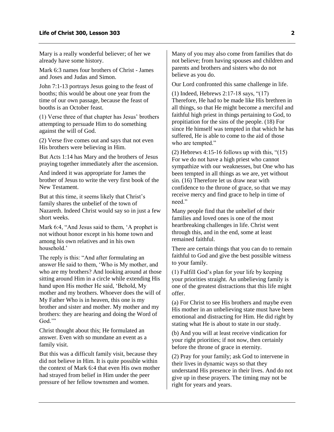Mary is a really wonderful believer; of her we already have some history.

Mark 6:3 names four brothers of Christ - James and Joses and Judas and Simon.

John 7:1-13 portrays Jesus going to the feast of booths; this would be about one year from the time of our own passage, because the feast of booths is an October feast.

(1) Verse three of that chapter has Jesus' brothers attempting to persuade Him to do something against the will of God.

(2) Verse five comes out and says that not even His brothers were believing in Him.

But Acts 1:14 has Mary and the brothers of Jesus praying together immediately after the ascension.

And indeed it was appropriate for James the brother of Jesus to write the very first book of the New Testament.

But at this time, it seems likely that Christ's family shares the unbelief of the town of Nazareth. Indeed Christ would say so in just a few short weeks.

Mark 6:4, "And Jesus said to them, 'A prophet is not without honor except in his home town and among his own relatives and in his own household.'

The reply is this: "And after formulating an answer He said to them, 'Who is My mother, and who are my brothers? And looking around at those sitting around Him in a circle while extending His hand upon His mother He said, 'Behold, My mother and my brothers. Whoever does the will of My Father Who is in heaven, this one is my brother and sister and mother. My mother and my brothers: they are hearing and doing the Word of God."

Christ thought about this; He formulated an answer. Even with so mundane an event as a family visit.

But this was a difficult family visit, because they did not believe in Him. It is quite possible within the context of Mark 6:4 that even His own mother had strayed from belief in Him under the peer pressure of her fellow townsmen and women.

Many of you may also come from families that do not believe; from having spouses and children and parents and brothers and sisters who do not believe as you do.

Our Lord confronted this same challenge in life.

(1) Indeed, Hebrews 2:17-18 says, "(17) Therefore, He had to be made like His brethren in all things, so that He might become a merciful and faithful high priest in things pertaining to God, to propitiation for the sins of the people. (18) For since He himself was tempted in that which he has suffered, He is able to come to the aid of those who are tempted."

(2) Hebrews 4:15-16 follows up with this, " $(15)$ For we do not have a high priest who cannot sympathize with our weaknesses, but One who has been tempted in all things as we are, yet without sin. (16) Therefore let us draw near with confidence to the throne of grace, so that we may receive mercy and find grace to help in time of need."

Many people find that the unbelief of their families and loved ones is one of the most heartbreaking challenges in life. Christ went through this, and in the end, some at least remained faithful.

There are certain things that you can do to remain faithful to God and give the best possible witness to your family.

(1) Fulfill God's plan for your life by keeping your priorities straight. An unbelieving family is one of the greatest distractions that this life might offer.

(a) For Christ to see His brothers and maybe even His mother in an unbelieving state must have been emotional and distracting for Him. He did right by stating what He is about to state in our study.

(b) And you will at least receive vindication for your right priorities; if not now, then certainly before the throne of grace in eternity.

(2) Pray for your family; ask God to intervene in their lives in dynamic ways so that they understand His presence in their lives. And do not give up in these prayers. The timing may not be right for years and years.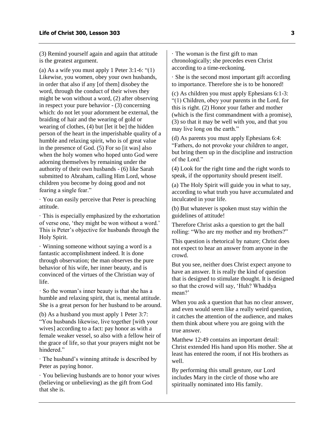(3) Remind yourself again and again that attitude is the greatest argument.

(a) As a wife you must apply 1 Peter  $3:1-6$ : "(1) Likewise, you women, obey your own husbands, in order that also if any [of them] disobey the word, through the conduct of their wives they might be won without a word, (2) after observing in respect your pure behavior - (3) concerning which: do not let your adornment be external, the braiding of hair and the wearing of gold or wearing of clothes, (4) but [let it be] the hidden person of the heart in the imperishable quality of a humble and relaxing spirit, who is of great value in the presence of God. (5) For so [it was] also when the holy women who hoped unto God were adorning themselves by remaining under the authority of their own husbands - (6) like Sarah submitted to Abraham, calling Him Lord, whose children you become by doing good and not fearing a single fear."

· You can easily perceive that Peter is preaching attitude.

· This is especially emphasized by the exhortation of verse one, 'they might be won without a word.' This is Peter's objective for husbands through the Holy Spirit.

· Winning someone without saying a word is a fantastic accomplishment indeed. It is done through observation; the man observes the pure behavior of his wife, her inner beauty, and is convinced of the virtues of the Christian way of life.

· So the woman's inner beauty is that she has a humble and relaxing spirit, that is, mental attitude. She is a great person for her husband to be around.

(b) As a husband you must apply 1 Peter 3:7: "You husbands likewise, live together [with your wives] according to a fact: pay honor as with a female weaker vessel, so also with a fellow heir of the grace of life, so that your prayers might not be hindered."

· The husband's winning attitude is described by Peter as paying honor.

· You believing husbands are to honor your wives (believing or unbelieving) as the gift from God that she is.

· The woman is the first gift to man chronologically; she precedes even Christ according to a time-reckoning.

· She is the second most important gift according to importance. Therefore she is to be honored!

(c) As children you must apply Ephesians 6:1-3: "(1) Children, obey your parents in the Lord, for this is right. (2) Honor your father and mother (which is the first commandment with a promise), (3) so that it may be well with you, and that you may live long on the earth."

(d) As parents you must apply Ephesians 6:4: "Fathers, do not provoke your children to anger, but bring them up in the discipline and instruction of the Lord."

(4) Look for the right time and the right words to speak, if the opportunity should present itself.

(a) The Holy Spirit will guide you in what to say, according to what truth you have accumulated and inculcated in your life.

(b) But whatever is spoken must stay within the guidelines of attitude!

Therefore Christ asks a question to get the ball rolling: "Who are my mother and my brothers?"

This question is rhetorical by nature; Christ does not expect to hear an answer from anyone in the crowd.

But you see, neither does Christ expect anyone to have an answer. It is really the kind of question that is designed to stimulate thought. It is designed so that the crowd will say, 'Huh? Whaddya mean?'

When you ask a question that has no clear answer, and even would seem like a really weird question, it catches the attention of the audience, and makes them think about where you are going with the true answer.

Matthew 12:49 contains an important detail: Christ extended His hand upon His mother. She at least has entered the room, if not His brothers as well.

By performing this small gesture, our Lord includes Mary in the circle of those who are spiritually nominated into His family.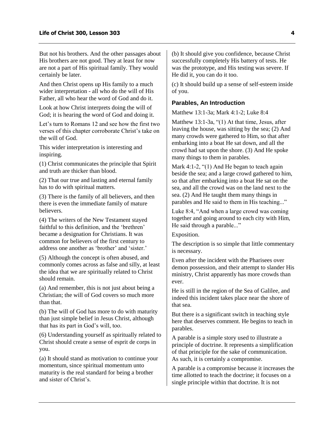But not his brothers. And the other passages about His brothers are not good. They at least for now are not a part of His spiritual family. They would certainly be later.

And then Christ opens up His family to a much wider interpretation - all who do the will of His Father, all who hear the word of God and do it.

Look at how Christ interprets doing the will of God; it is hearing the word of God and doing it.

Let's turn to Romans 12 and see how the first two verses of this chapter corroborate Christ's take on the will of God.

This wider interpretation is interesting and inspiring.

(1) Christ communicates the principle that Spirit and truth are thicker than blood.

(2) That our true and lasting and eternal family has to do with spiritual matters.

(3) There is the family of all believers, and then there is even the immediate family of mature believers.

(4) The writers of the New Testament stayed faithful to this definition, and the 'brethren' became a designation for Christians. It was common for believers of the first century to address one another as 'brother' and 'sister.'

(5) Although the concept is often abused, and commonly comes across as false and silly, at least the idea that we are spiritually related to Christ should remain.

(a) And remember, this is not just about being a Christian; the will of God covers so much more than that.

(b) The will of God has more to do with maturity than just simple belief in Jesus Christ, although that has its part in God's will, too.

(6) Understanding yourself as spiritually related to Christ should create a sense of esprit de corps in you.

(a) It should stand as motivation to continue your momentum, since spiritual momentum unto maturity is the real standard for being a brother and sister of Christ's.

(b) It should give you confidence, because Christ successfully completely His battery of tests. He was the prototype, and His testing was severe. If He did it, you can do it too.

(c) It should build up a sense of self-esteem inside of you.

### <span id="page-5-0"></span>**Parables, An Introduction**

Matthew 13:1-3a; Mark 4:1-2; Luke 8:4

Matthew 13:1-3a, "(1) At that time, Jesus, after leaving the house, was sitting by the sea; (2) And many crowds were gathered to Him, so that after embarking into a boat He sat down, and all the crowd had sat upon the shore. (3) And He spoke many things to them in parables.

Mark 4:1-2, "(1) And He began to teach again beside the sea; and a large crowd gathered to him, so that after embarking into a boat He sat on the sea, and all the crowd was on the land next to the sea. (2) And He taught them many things in parables and He said to them in His teaching..."

Luke 8:4, "And when a large crowd was coming together and going around to each city with Him, He said through a parable..."

Exposition.

The description is so simple that little commentary is necessary.

Even after the incident with the Pharisees over demon possession, and their attempt to slander His ministry, Christ apparently has more crowds than ever.

He is still in the region of the Sea of Galilee, and indeed this incident takes place near the shore of that sea.

But there is a significant switch in teaching style here that deserves comment. He begins to teach in parables.

A parable is a simple story used to illustrate a principle of doctrine. It represents a simplification of that principle for the sake of communication. As such, it is certainly a compromise.

A parable is a compromise because it increases the time allotted to teach the doctrine; it focuses on a single principle within that doctrine. It is not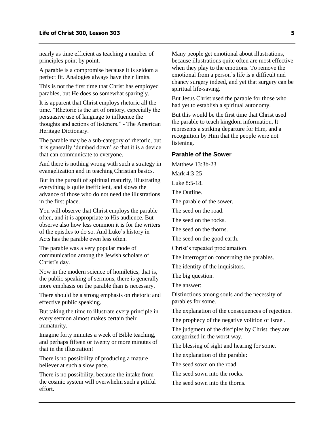nearly as time efficient as teaching a number of principles point by point.

A parable is a compromise because it is seldom a perfect fit. Analogies always have their limits.

This is not the first time that Christ has employed parables, but He does so somewhat sparingly.

It is apparent that Christ employs rhetoric all the time. "Rhetoric is the art of oratory, especially the persuasive use of language to influence the thoughts and actions of listeners." - The American Heritage Dictionary.

The parable may be a sub-category of rhetoric, but it is generally 'dumbed down' so that it is a device that can communicate to everyone.

And there is nothing wrong with such a strategy in evangelization and in teaching Christian basics.

But in the pursuit of spiritual maturity, illustrating everything is quite inefficient, and slows the advance of those who do not need the illustrations in the first place.

You will observe that Christ employs the parable often, and it is appropriate to His audience. But observe also how less common it is for the writers of the epistles to do so. And Luke's history in Acts has the parable even less often.

The parable was a very popular mode of communication among the Jewish scholars of Christ's day.

Now in the modern science of homiletics, that is, the public speaking of sermons, there is generally more emphasis on the parable than is necessary.

There should be a strong emphasis on rhetoric and effective public speaking.

But taking the time to illustrate every principle in every sermon almost makes certain their immaturity.

Imagine forty minutes a week of Bible teaching, and perhaps fifteen or twenty or more minutes of that in the illustration!

There is no possibility of producing a mature believer at such a slow pace.

There is no possibility, because the intake from the cosmic system will overwhelm such a pitiful effort.

Many people get emotional about illustrations, because illustrations quite often are most effective when they play to the emotions. To remove the emotional from a person's life is a difficult and chancy surgery indeed, and yet that surgery can be spiritual life-saving.

But Jesus Christ used the parable for those who had yet to establish a spiritual autonomy.

But this would be the first time that Christ used the parable to teach kingdom information. It represents a striking departure for Him, and a recognition by Him that the people were not listening.

## <span id="page-6-0"></span>**Parable of the Sower**

Matthew 13:3b-23 Mark 4:3-25 Luke 8:5-18. The Outline. The parable of the sower. The seed on the road. The seed on the rocks. The seed on the thorns. The seed on the good earth. Christ's repeated proclamation. The interrogation concerning the parables. The identity of the inquisitors. The big question. The answer: Distinctions among souls and the necessity of parables for some. The explanation of the consequences of rejection. The prophecy of the negative volition of Israel. The judgment of the disciples by Christ, they are categorized in the worst way. The blessing of sight and hearing for some. The explanation of the parable: The seed sown on the road. The seed sown into the rocks.

The seed sown into the thorns.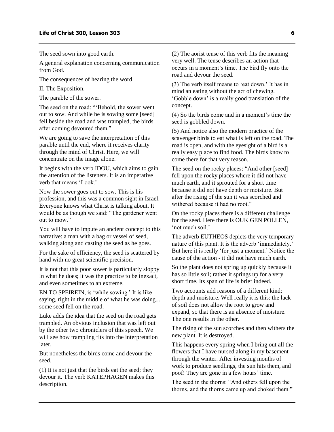The seed sown into good earth.

A general explanation concerning communication from God.

The consequences of hearing the word.

II. The Exposition.

The parable of the sower.

The seed on the road: "'Behold, the sower went out to sow. And while he is sowing some [seed] fell beside the road and was trampled, the birds after coming devoured them."

We are going to save the interpretation of this parable until the end, where it receives clarity through the mind of Christ. Here, we will concentrate on the image alone.

It begins with the verb IDOU, which aims to gain the attention of the listeners. It is an imperative verb that means 'Look.'

Now the sower goes out to sow. This is his profession, and this was a common sight in Israel. Everyone knows what Christ is talking about. It would be as though we said: "The gardener went out to mow."

You will have to impute an ancient concept to this narrative: a man with a bag or vessel of seed, walking along and casting the seed as he goes.

For the sake of efficiency, the seed is scattered by hand with no great scientific precision.

It is not that this poor sower is particularly sloppy in what he does; it was the practice to be inexact, and even sometimes to an extreme.

EN TO SPEIREIN, is 'while sowing.' It is like saying, right in the middle of what he was doing... some seed fell on the road.

Luke adds the idea that the seed on the road gets trampled. An obvious inclusion that was left out by the other two chroniclers of this speech. We will see how trampling fits into the interpretation later.

But nonetheless the birds come and devour the seed.

(1) It is not just that the birds eat the seed; they devour it. The verb KATEPHAGEN makes this description.

(2) The aorist tense of this verb fits the meaning very well. The tense describes an action that occurs in a moment's time. The bird fly onto the road and devour the seed.

(3) The verb itself means to 'eat down.' It has in mind an eating without the act of chewing. 'Gobble down' is a really good translation of the concept.

(4) So the birds come and in a moment's time the seed is gobbled down.

(5) And notice also the modern practice of the scavenger birds to eat what is left on the road. The road is open, and with the eyesight of a bird is a really easy place to find food. The birds know to come there for that very reason.

The seed on the rocky places: "And other [seed] fell upon the rocky places where it did not have much earth, and it sprouted for a short time because it did not have depth or moisture. But after the rising of the sun it was scorched and withered because it had no root."

On the rocky places there is a different challenge for the seed. Here there is OUK GEN POLLEN, 'not much soil.'

The adverb EUTHEOS depicts the very temporary nature of this plant. It is the adverb 'immediately.' But here it is really 'for just a moment.' Notice the cause of the action - it did not have much earth.

So the plant does not spring up quickly because it has so little soil; rather it springs up for a very short time. Its span of life is brief indeed.

Two accounts add reasons of a different kind; depth and moisture. Well really it is this: the lack of soil does not allow the root to grow and expand, so that there is an absence of moisture. The one results in the other.

The rising of the sun scorches and then withers the new plant. It is destroyed.

This happens every spring when I bring out all the flowers that I have nursed along in my basement through the winter. After investing months of work to produce seedlings, the sun hits them, and poof! They are gone in a few hours' time.

The seed in the thorns: "And others fell upon the thorns, and the thorns came up and choked them."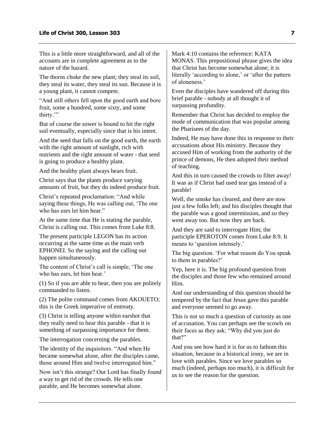This is a little more straightforward, and all of the accounts are in complete agreement as to the nature of the hazard.

The thorns choke the new plant; they steal its soil, they steal its water, they steal its sun. Because it is a young plant, it cannot compete.

"And still others fell upon the good earth and bore fruit, some a hundred, some sixty, and some thirty.'"

But of course the sower is bound to hit the right soil eventually, especially since that is his intent.

And the seed that falls on the good earth, the earth with the right amount of sunlight, rich with nutrients and the right amount of water - that seed is going to produce a healthy plant.

And the healthy plant always bears fruit.

Christ says that the plants produce varying amounts of fruit, but they do indeed produce fruit.

Christ's repeated proclamation: "And while saying these things, He was calling out, 'The one who has ears let him hear."

At the same time that He is stating the parable, Christ is calling out. This comes from Luke 8:8.

The present participle LEGON has its action occurring at the same time as the main verb EPHONEI. So the saying and the calling out happen simultaneously.

The content of Christ's call is simple, 'The one who has ears, let him hear.'

(1) So if you are able to hear, then you are politely commanded to listen.

(2) The polite command comes from AKOUETO; this is the Greek imperative of entreaty.

(3) Christ is telling anyone within earshot that they really need to hear this parable - that it is something of surpassing importance for them.

The interrogation concerning the parables.

The identity of the inquisitors. "And when He became somewhat alone, after the disciples came, those around Him and twelve interrogated him."

Now isn't this strange? Our Lord has finally found a way to get rid of the crowds. He tells one parable, and He becomes somewhat alone.

Mark 4:10 contains the reference: KATA MONAS. This prepositional phrase gives the idea that Christ has become somewhat alone; it is literally 'according to alone,' or 'after the pattern of aloneness.'

Even the disciples have wandered off during this brief parable - nobody at all thought it of surpassing profundity.

Remember that Christ has decided to employ the mode of communication that was popular among the Pharisees of the day.

Indeed, He may have done this in response to their accusations about His ministry. Because they accused Him of working from the authority of the prince of demons, He then adopted their method of teaching.

And this in turn caused the crowds to filter away! It was as if Christ had used tear gas instead of a parable!

Well, the smoke has cleared, and there are now just a few folks left; and his disciples thought that the parable was a good intermission, and so they went away too. But now they are back.

And they are said to interrogate Him; the participle EPEROTON comes from Luke 8:9. It means to 'question intensely.'

The big question. 'For what reason do You speak to them in parables?'

Yep, here it is. The big profound question from the disciples and those few who remained around Him.

And our understanding of this question should be tempered by the fact that Jesus gave this parable and everyone seemed to go away.

This is not so much a question of curiosity as one of accusation. You can perhaps see the scowls on their faces as they ask: "Why did you just do that?"

And you see how hard it is for us to fathom this situation, because in a historical irony, we are in love with parables. Since we love parables so much (indeed, perhaps too much), it is difficult for us to see the reason for the question.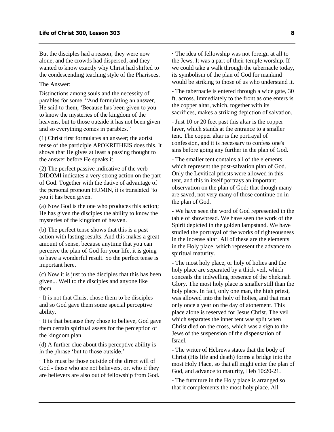But the disciples had a reason; they were now alone, and the crowds had dispersed, and they wanted to know exactly why Christ had shifted to the condescending teaching style of the Pharisees.

#### The Answer:

Distinctions among souls and the necessity of parables for some. "And formulating an answer, He said to them, 'Because has been given to you to know the mysteries of the kingdom of the heavens, but to those outside it has not been given and so everything comes in parables."

(1) Christ first formulates an answer; the aorist tense of the participle APOKRITHEIS does this. It shows that He gives at least a passing thought to the answer before He speaks it.

(2) The perfect passive indicative of the verb DIDOMI indicates a very strong action on the part of God. Together with the dative of advantage of the personal pronoun HUMIN, it is translated 'to you it has been given.'

(a) Now God is the one who produces this action; He has given the disciples the ability to know the mysteries of the kingdom of heaven.

(b) The perfect tense shows that this is a past action with lasting results. And this makes a great amount of sense, because anytime that you can perceive the plan of God for your life, it is going to have a wonderful result. So the perfect tense is important here.

(c) Now it is just to the disciples that this has been given... Well to the disciples and anyone like them.

· It is not that Christ chose them to be disciples and so God gave them some special perceptive ability.

· It is that because they chose to believe, God gave them certain spiritual assets for the perception of the kingdom plan.

(d) A further clue about this perceptive ability is in the phrase 'but to those outside.'

· This must be those outside of the direct will of God - those who are not believers, or, who if they are believers are also out of fellowship from God.

· The idea of fellowship was not foreign at all to the Jews. It was a part of their temple worship. If we could take a walk through the tabernacle today, its symbolism of the plan of God for mankind would be striking to those of us who understand it.

- The tabernacle is entered through a wide gate, 30 ft. across. Immediately to the front as one enters is the copper altar, which, together with its sacrifices, makes a striking depiction of salvation.

- Just 10 or 20 feet past this altar is the copper laver, which stands at the entrance to a smaller tent. The copper altar is the portrayal of confession, and it is necessary to confess one's sins before going any further in the plan of God.

- The smaller tent contains all of the elements which represent the post-salvation plan of God. Only the Levitical priests were allowed in this tent, and this in itself portrays an important observation on the plan of God: that though many are saved, not very many of those continue on in the plan of God.

- We have seen the word of God represented in the table of showbread. We have seen the work of the Spirit depicted in the golden lampstand. We have studied the portrayal of the works of righteousness in the incense altar. All of these are the elements in the Holy place, which represent the advance to spiritual maturity.

- The most holy place, or holy of holies and the holy place are separated by a thick veil, which conceals the indwelling presence of the Shekinah Glory. The most holy place is smaller still than the holy place. In fact, only one man, the high priest, was allowed into the holy of holies, and that man only once a year on the day of atonement. This place alone is reserved for Jesus Christ. The veil which separates the inner tent was split when Christ died on the cross, which was a sign to the Jews of the suspension of the dispensation of Israel.

- The writer of Hebrews states that the body of Christ (His life and death) forms a bridge into the most Holy Place, so that all might enter the plan of God, and advance to maturity, Heb 10:20-21.

- The furniture in the Holy place is arranged so that it complements the most holy place. All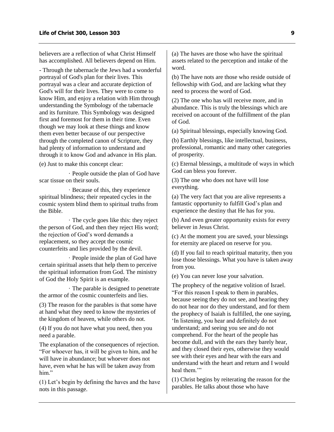believers are a reflection of what Christ Himself has accomplished. All believers depend on Him.

- Through the tabernacle the Jews had a wonderful portrayal of God's plan for their lives. This portrayal was a clear and accurate depiction of God's will for their lives. They were to come to know Him, and enjoy a relation with Him through understanding the Symbology of the tabernacle and its furniture. This Symbology was designed first and foremost for them in their time. Even though we may look at these things and know them even better because of our perspective through the completed canon of Scripture, they had plenty of information to understand and through it to know God and advance in His plan.

(e) Just to make this concept clear:

· People outside the plan of God have scar tissue on their souls.

· Because of this, they experience spiritual blindness; their repeated cycles in the cosmic system blind them to spiritual truths from the Bible.

· The cycle goes like this: they reject the person of God, and then they reject His word; the rejection of God's word demands a replacement, so they accept the cosmic counterfeits and lies provided by the devil.

· People inside the plan of God have certain spiritual assets that help them to perceive the spiritual information from God. The ministry of God the Holy Spirit is an example.

· The parable is designed to penetrate the armor of the cosmic counterfeits and lies.

(3) The reason for the parables is that some have at hand what they need to know the mysteries of the kingdom of heaven, while others do not.

(4) If you do not have what you need, then you need a parable.

The explanation of the consequences of rejection. "For whoever has, it will be given to him, and he will have in abundance; but whoever does not have, even what he has will be taken away from him."

(1) Let's begin by defining the haves and the have nots in this passage.

(a) The haves are those who have the spiritual assets related to the perception and intake of the word.

(b) The have nots are those who reside outside of fellowship with God, and are lacking what they need to process the word of God.

(2) The one who has will receive more, and in abundance. This is truly the blessings which are received on account of the fulfillment of the plan of God.

(a) Spiritual blessings, especially knowing God.

(b) Earthly blessings, like intellectual, business, professional, romantic and many other categories of prosperity.

(c) Eternal blessings, a multitude of ways in which God can bless you forever.

(3) The one who does not have will lose everything.

(a) The very fact that you are alive represents a fantastic opportunity to fulfill God's plan and experience the destiny that He has for you.

(b) And even greater opportunity exists for every believer in Jesus Christ.

(c) At the moment you are saved, your blessings for eternity are placed on reserve for you.

(d) If you fail to reach spiritual maturity, then you lose those blessings. What you have is taken away from you.

(e) You can never lose your salvation.

The prophecy of the negative volition of Israel. "For this reason I speak to them in parables, because seeing they do not see, and hearing they do not hear nor do they understand, and for them the prophecy of Isaiah is fulfilled, the one saying, 'In listening, you hear and definitely do not understand; and seeing you see and do not comprehend. For the heart of the people has become dull, and with the ears they barely hear, and they closed their eyes, otherwise they would see with their eyes and hear with the ears and understand with the heart and return and I would heal them<sup>"</sup>

(1) Christ begins by reiterating the reason for the parables. He talks about those who have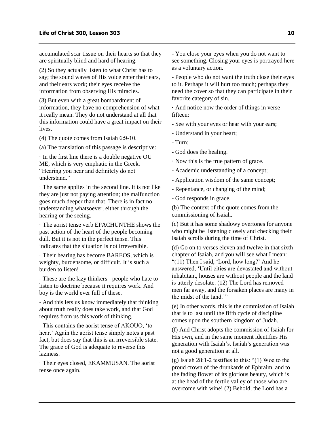accumulated scar tissue on their hearts so that they are spiritually blind and hard of hearing. (2) So they actually listen to what Christ has to say; the sound waves of His voice enter their ears, and their ears work; their eyes receive the information from observing His miracles. (3) But even with a great bombardment of information, they have no comprehension of what it really mean. They do not understand at all that this information could have a great impact on their lives. (4) The quote comes from Isaiah 6:9-10. (a) The translation of this passage is descriptive: · In the first line there is a double negative OU ME, which is very emphatic in the Greek. "Hearing you hear and definitely do not understand." · The same applies in the second line. It is not like they are just not paying attention; the malfunction goes much deeper than that. There is in fact no understanding whatsoever, either through the hearing or the seeing. · The aorist tense verb EPACHUNTHE shows the past action of the heart of the people becoming dull. But it is not in the perfect tense. This indicates that the situation is not irreversible. - You close your eyes when you do not want to as a voluntary action. favorite category of sin. · And notice now the order of things in verse fifteen: - See with your eyes or hear with your ears; - Understand in your heart; - Turn; - God does the healing. · Now this is the true pattern of grace. - Academic understanding of a concept; - Application wisdom of the same concept; - Repentance, or changing of the mind; - God responds in grace. (b) The context of the quote comes from the commissioning of Isaiah. Isaiah scrolls during the time of Christ.

· Their hearing has become BAREOS, which is weighty, burdensome, or difficult. It is such a burden to listen!

- These are the lazy thinkers - people who hate to listen to doctrine because it requires work. And boy is the world ever full of these.

- And this lets us know immediately that thinking about truth really does take work, and that God requires from us this work of thinking.

- This contains the aorist tense of AKOUO, 'to hear.' Again the aorist tense simply notes a past fact, but does say that this is an irreversible state. The grace of God is adequate to reverse this laziness.

· Their eyes closed, EKAMMUSAN. The aorist tense once again.

see something. Closing your eyes is portrayed here

- People who do not want the truth close their eyes to it. Perhaps it will hurt too much; perhaps they need the cover so that they can participate in their

(c) But it has some shadowy overtones for anyone who might be listening closely and checking their

(d) Go on to verses eleven and twelve in that sixth chapter of Isaiah, and you will see what I mean: "(11) Then I said, 'Lord, how long?' And he answered, 'Until cities are devastated and without inhabitant, houses are without people and the land is utterly desolate. (12) The Lord has removed men far away, and the forsaken places are many in the midst of the land.'"

(e) In other words, this is the commission of Isaiah that is to last until the fifth cycle of discipline comes upon the southern kingdom of Judah.

(f) And Christ adopts the commission of Isaiah for His own, and in the same moment identifies His generation with Isaiah's. Isaiah's generation was not a good generation at all.

(g) Isaiah 28:1-2 testifies to this: "(1) Woe to the proud crown of the drunkards of Ephraim, and to the fading flower of its glorious beauty, which is at the head of the fertile valley of those who are overcome with wine! (2) Behold, the Lord has a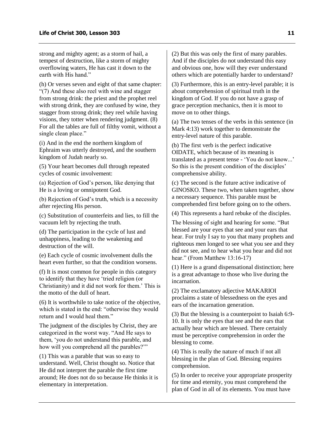strong and mighty agent; as a storm of hail, a tempest of destruction, like a storm of mighty overflowing waters, He has cast it down to the earth with His hand."

(h) Or verses seven and eight of that same chapter: "(7) And these also reel with wine and stagger from strong drink: the priest and the prophet reel with strong drink, they are confused by wine, they stagger from strong drink; they reel while having visions, they totter when rendering judgment. (8) For all the tables are full of filthy vomit, without a single clean place."

(i) And in the end the northern kingdom of Ephraim was utterly destroyed, and the southern kingdom of Judah nearly so.

(5) Your heart becomes dull through repeated cycles of cosmic involvement:

(a) Rejection of God's person, like denying that He is a loving or omnipotent God.

(b) Rejection of God's truth, which is a necessity after rejecting His person.

(c) Substitution of counterfeits and lies, to fill the vacuum left by rejecting the truth.

(d) The participation in the cycle of lust and unhappiness, leading to the weakening and destruction of the will.

(e) Each cycle of cosmic involvement dulls the heart even further, so that the condition worsens.

(f) It is most common for people in this category to identify that they have 'tried religion (or Christianity) and it did not work for them.' This is the motto of the dull of heart.

(6) It is worthwhile to take notice of the objective, which is stated in the end: "otherwise they would return and I would heal them."

The judgment of the disciples by Christ, they are categorized in the worst way. "And He says to them, 'you do not understand this parable, and how will you comprehend all the parables?""

(1) This was a parable that was so easy to understand. Well, Christ thought so. Notice that He did not interpret the parable the first time around; He does not do so because He thinks it is elementary in interpretation.

(2) But this was only the first of many parables. And if the disciples do not understand this easy and obvious one, how will they ever understand others which are potentially harder to understand?

(3) Furthermore, this is an entry-level parable; it is about comprehension of spiritual truth in the kingdom of God. If you do not have a grasp of grace perception mechanics, then it is moot to move on to other things.

(a) The two tenses of the verbs in this sentence (in Mark 4:13) work together to demonstrate the entry-level nature of this parable.

(b) The first verb is the perfect indicative OIDATE, which because of its meaning is translated as a present tense - 'You do not know...' So this is the present condition of the disciples' comprehensive ability.

(c) The second is the future active indicative of GINOSKO. These two, when taken together, show a necessary sequence. This parable must be comprehended first before going on to the others.

(4) This represents a hard rebuke of the disciples.

The blessing of sight and hearing for some. "But blessed are your eyes that see and your ears that hear. For truly I say to you that many prophets and righteous men longed to see what you see and they did not see, and to hear what you hear and did not hear." (From Matthew 13:16-17)

(1) Here is a grand dispensational distinction; here is a great advantage to those who live during the incarnation.

(2) The exclamatory adjective MAKARIOI proclaims a state of blessedness on the eyes and ears of the incarnation generation.

(3) But the blessing is a counterpoint to Isaiah 6:9- 10. It is only the eyes that see and the ears that actually hear which are blessed. There certainly must be perceptive comprehension in order the blessing to come.

(4) This is really the nature of much if not all blessing in the plan of God. Blessing requires comprehension.

(5) In order to receive your appropriate prosperity for time and eternity, you must comprehend the plan of God in all of its elements. You must have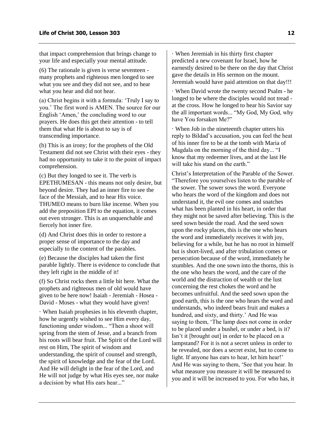that impact comprehension that brings change to your life and especially your mental attitude.

(6) The rationale is given is verse seventeen many prophets and righteous men longed to see what you see and they did not see, and to hear what you hear and did not hear.

(a) Christ begins it with a formula: 'Truly I say to you.' The first word is AMEN. The source for our English 'Amen,' the concluding word to our prayers. He does this get their attention - to tell them that what He is about to say is of transcending importance.

(b) This is an irony; for the prophets of the Old Testament did not see Christ with their eyes - they had no opportunity to take it to the point of impact comprehension.

(c) But they longed to see it. The verb is EPETHUMESAN - this means not only desire, but beyond desire. They had an inner fire to see the face of the Messiah, and to hear His voice. THUMEO means to burn like incense. When you add the preposition EPI to the equation, it comes out even stronger. This is an unquenchable and fiercely hot inner fire.

(d) And Christ does this in order to restore a proper sense of importance to the day and especially to the content of the parables.

(e) Because the disciples had taken the first parable lightly. There is evidence to conclude that they left right in the middle of it!

(f) So Christ rocks them a little bit here. What the prophets and righteous men of old would have given to be here now! Isaiah - Jeremiah - Hosea - David - Moses - what they would have given!

· When Isaiah prophesies in his eleventh chapter, how he urgently wished to see Him every day, functioning under wisdom... "Then a shoot will spring from the stem of Jesse, and a branch from his roots will bear fruit. The Spirit of the Lord will rest on Him, The spirit of wisdom and understanding, the spirit of counsel and strength, the spirit of knowledge and the fear of the Lord. And He will delight in the fear of the Lord, and He will not judge by what His eyes see, nor make a decision by what His ears hear..."

· When Jeremiah in his thirty first chapter predicted a new covenant for Israel, how he earnestly desired to be there on the day that Christ gave the details in His sermon on the mount. Jeremiah would have paid attention on that day!!!

· When David wrote the twenty second Psalm - he longed to be where the disciples would not tread at the cross. How he longed to hear his Savior say the all important words... "My God, My God, why have You forsaken Me?"

· When Job in the nineteenth chapter utters his reply to Bildad's accusation, you can feel the heat of his inner fire to be at the tomb with Maria of Magdala on the morning of the third day... "I know that my redeemer lives, and at the last He will take his stand on the earth."

Christ's Interpretation of the Parable of the Sower. "Therefore you yourselves listen to the parable of the sower. The sower sows the word. Everyone who hears the word of the kingdom and does not understand it, the evil one comes and snatches what has been planted in his heart, in order that they might not be saved after believing. This is the seed sown beside the road. And the seed sown upon the rocky places, this is the one who hears the word and immediately receives it with joy, believing for a while, but he has no root in himself but is short-lived, and after tribulation comes or persecution because of the word, immediately he stumbles. And the one sown into the thorns, this is the one who hears the word, and the care of the world and the distraction of wealth or the lust concerning the rest chokes the word and he becomes unfruitful. And the seed sown upon the good earth, this is the one who hears the word and understands, who indeed bears fruit and makes a hundred, and sixty, and thirty.' And He was saying to them, 'The lamp does not come in order to be placed under a bushel, or under a bed, is it? Isn't it [brought out] in order to be placed on a lampstand? For it is not a secret unless in order to be revealed, nor does a secret exist, but to come to light. If anyone has ears to hear, let him hear!' And He was saying to them, 'See that you hear. In what measure you measure it will be measured to you and it will be increased to you. For who has, it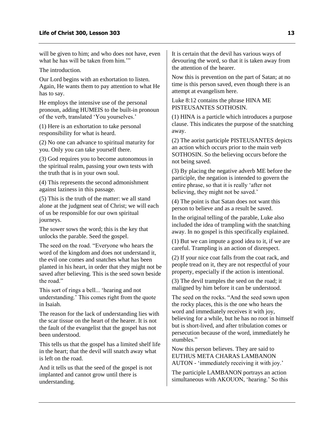will be given to him; and who does not have, even what he has will be taken from him."

The introduction.

Our Lord begins with an exhortation to listen. Again, He wants them to pay attention to what He has to say.

He employs the intensive use of the personal pronoun, adding HUMEIS to the built-in pronoun of the verb, translated 'You yourselves.'

(1) Here is an exhortation to take personal responsibility for what is heard.

(2) No one can advance to spiritual maturity for you. Only you can take yourself there.

(3) God requires you to become autonomous in the spiritual realm, passing your own tests with the truth that is in your own soul.

(4) This represents the second admonishment against laziness in this passage.

(5) This is the truth of the matter: we all stand alone at the judgment seat of Christ; we will each of us be responsible for our own spiritual journeys.

The sower sows the word; this is the key that unlocks the parable. Seed the gospel.

The seed on the road. "Everyone who hears the word of the kingdom and does not understand it, the evil one comes and snatches what has been planted in his heart, in order that they might not be saved after believing. This is the seed sown beside the road."

This sort of rings a bell... 'hearing and not understanding.' This comes right from the quote in Isaiah.

The reason for the lack of understanding lies with the scar tissue on the heart of the hearer. It is not the fault of the evangelist that the gospel has not been understood.

This tells us that the gospel has a limited shelf life in the heart; that the devil will snatch away what is left on the road.

And it tells us that the seed of the gospel is not implanted and cannot grow until there is understanding.

It is certain that the devil has various ways of devouring the word, so that it is taken away from the attention of the hearer.

Now this is prevention on the part of Satan; at no time is this person saved, even though there is an attempt at evangelism here.

Luke 8:12 contains the phrase HINA ME PISTEUSANTES SOTHOSIN.

(1) HINA is a particle which introduces a purpose clause. This indicates the purpose of the snatching away.

(2) The aorist participle PISTEUSANTES depicts an action which occurs prior to the main verb SOTHOSIN. So the believing occurs before the not being saved.

(3) By placing the negative adverb ME before the participle, the negation is intended to govern the entire phrase, so that it is really 'after not believing, they might not be saved.'

(4) The point is that Satan does not want this person to believe and as a result be saved.

In the original telling of the parable, Luke also included the idea of trampling with the snatching away. In no gospel is this specifically explained.

(1) But we can impute a good idea to it, if we are careful. Trampling is an action of disrespect.

(2) If your nice coat falls from the coat rack, and people tread on it, they are not respectful of your property, especially if the action is intentional.

(3) The devil tramples the seed on the road; it maligned by him before it can be understood.

The seed on the rocks. "And the seed sown upon the rocky places, this is the one who hears the word and immediately receives it with joy, believing for a while, but he has no root in himself but is short-lived, and after tribulation comes or persecution because of the word, immediately he stumbles."

Now this person believes. They are said to EUTHUS META CHARAS LAMBANON AUTON - 'immediately receiving it with joy.'

The participle LAMBANON portrays an action simultaneous with AKOUON, 'hearing.' So this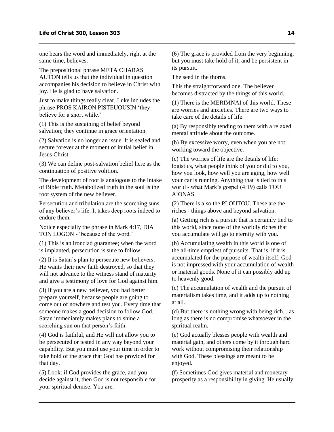one hears the word and immediately, right at the same time, believes.

The prepositional phrase META CHARAS AUTON tells us that the individual in question accompanies his decision to believe in Christ with joy. He is glad to have salvation.

Just to make things really clear, Luke includes the phrase PROS KAIRON PISTEUOUSIN 'they believe for a short while.'

(1) This is the sustaining of belief beyond salvation; they continue in grace orientation.

(2) Salvation is no longer an issue. It is sealed and secure forever at the moment of initial belief in Jesus Christ.

(3) We can define post-salvation belief here as the continuation of positive volition.

The development of root is analogous to the intake of Bible truth. Metabolized truth in the soul is the root system of the new believer.

Persecution and tribulation are the scorching suns of any believer's life. It takes deep roots indeed to endure them.

Notice especially the phrase in Mark 4:17, DIA TON LOGON - 'because of the word.'

(1) This is an ironclad guarantee; when the word is implanted, persecution is sure to follow.

(2) It is Satan's plan to persecute new believers. He wants their new faith destroyed, so that they will not advance to the witness stand of maturity and give a testimony of love for God against him.

(3) If you are a new believer, you had better prepare yourself, because people are going to come out of nowhere and test you. Every time that someone makes a good decision to follow God, Satan immediately makes plans to shine a scorching sun on that person's faith.

(4) God is faithful, and He will not allow you to be persecuted or tested in any way beyond your capability. But you must use your time in order to take hold of the grace that God has provided for that day.

(5) Look: if God provides the grace, and you decide against it, then God is not responsible for your spiritual demise. You are.

(6) The grace is provided from the very beginning, but you must take hold of it, and be persistent in its pursuit.

The seed in the thorns.

This the straightforward one. The believer becomes distracted by the things of this world.

(1) There is the MERIMNAI of this world. These are worries and anxieties. There are two ways to take care of the details of life.

(a) By responsibly tending to them with a relaxed mental attitude about the outcome.

(b) By excessive worry, even when you are not working toward the objective.

(c) The worries of life are the details of life: logistics, what people think of you or did to you, how you look, how well you are aging, how well your car is running. Anything that is tied to this world - what Mark's gospel (4:19) calls TOU AIONAS.

(2) There is also the PLOUTOU. These are the riches - things above and beyond salvation.

(a) Getting rich is a pursuit that is certainly tied to this world, since none of the worldly riches that you accumulate will go to eternity with you.

(b) Accumulating wealth in this world is one of the all-time emptiest of pursuits. That is, if it is accumulated for the purpose of wealth itself. God is not impressed with your accumulation of wealth or material goods. None of it can possibly add up to heavenly good.

(c) The accumulation of wealth and the pursuit of materialism takes time, and it adds up to nothing at all.

(d) But there is nothing wrong with being rich... as long as there is no compromise whatsoever in the spiritual realm.

(e) God actually blesses people with wealth and material gain, and others come by it through hard work without compromising their relationship with God. These blessings are meant to be enjoyed.

(f) Sometimes God gives material and monetary prosperity as a responsibility in giving. He usually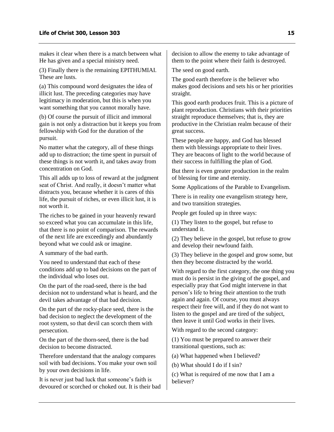makes it clear when there is a match between what He has given and a special ministry need.

(3) Finally there is the remaining EPITHUMIAI. These are lusts.

(a) This compound word designates the idea of illicit lust. The preceding categories may have legitimacy in moderation, but this is when you want something that you cannot morally have.

(b) Of course the pursuit of illicit and immoral gain is not only a distraction but it keeps you from fellowship with God for the duration of the pursuit.

No matter what the category, all of these things add up to distraction; the time spent in pursuit of these things is not worth it, and takes away from concentration on God.

This all adds up to loss of reward at the judgment seat of Christ. And really, it doesn't matter what distracts you, because whether it is cares of this life, the pursuit of riches, or even illicit lust, it is not worth it.

The riches to be gained in your heavenly reward so exceed what you can accumulate in this life, that there is no point of comparison. The rewards of the next life are exceedingly and abundantly beyond what we could ask or imagine.

A summary of the bad earth.

You need to understand that each of these conditions add up to bad decisions on the part of the individual who loses out.

On the part of the road-seed, there is the bad decision not to understand what is heard, and the devil takes advantage of that bad decision.

On the part of the rocky-place seed, there is the bad decision to neglect the development of the root system, so that devil can scorch them with persecution.

On the part of the thorn-seed, there is the bad decision to become distracted.

Therefore understand that the analogy compares soil with bad decisions. You make your own soil by your own decisions in life.

It is never just bad luck that someone's faith is devoured or scorched or choked out. It is their bad decision to allow the enemy to take advantage of them to the point where their faith is destroyed.

The seed on good earth.

The good earth therefore is the believer who makes good decisions and sets his or her priorities straight.

This good earth produces fruit. This is a picture of plant reproduction. Christians with their priorities straight reproduce themselves; that is, they are productive in the Christian realm because of their great success.

These people are happy, and God has blessed them with blessings appropriate to their lives. They are beacons of light to the world because of their success in fulfilling the plan of God.

But there is even greater production in the realm of blessing for time and eternity.

Some Applications of the Parable to Evangelism.

There is in reality one evangelism strategy here, and two transition strategies.

People get fouled up in three ways:

(1) They listen to the gospel, but refuse to understand it.

(2) They believe in the gospel, but refuse to grow and develop their newfound faith.

(3) They believe in the gospel and grow some, but then they become distracted by the world.

With regard to the first category, the one thing you must do is persist in the giving of the gospel, and especially pray that God might intervene in that person's life to bring their attention to the truth again and again. Of course, you must always respect their free will, and if they do not want to listen to the gospel and are tired of the subject, then leave it until God works in their lives.

With regard to the second category:

(1) You must be prepared to answer their transitional questions, such as:

(a) What happened when I believed?

(b) What should I do if I sin?

(c) What is required of me now that I am a believer?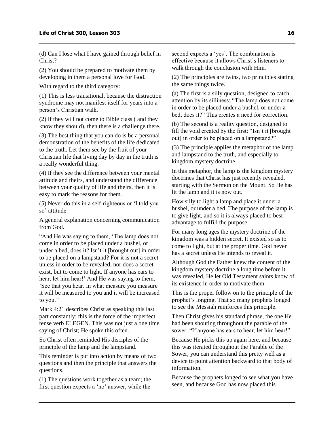(d) Can I lose what I have gained through belief in Christ?

(2) You should be prepared to motivate them by developing in them a personal love for God.

With regard to the third category:

(1) This is less transitional, because the distraction syndrome may not manifest itself for years into a person's Christian walk.

(2) If they will not come to Bible class ( and they know they should), then there is a challenge there.

(3) The best thing that you can do is be a personal demonstration of the benefits of the life dedicated to the truth. Let them see by the fruit of your Christian life that living day by day in the truth is a really wonderful thing.

(4) If they see the difference between your mental attitude and theirs, and understand the difference between your quality of life and theirs, then it is easy to mark the reasons for them.

(5) Never do this in a self-righteous or 'I told you so' attitude.

A general explanation concerning communication from God.

"And He was saying to them, 'The lamp does not come in order to be placed under a bushel, or under a bed, does it? Isn't it [brought out] in order to be placed on a lampstand? For it is not a secret unless in order to be revealed, nor does a secret exist, but to come to light. If anyone has ears to hear, let him hear!' And He was saying to them, 'See that you hear. In what measure you measure it will be measured to you and it will be increased to you."

Mark 4:21 describes Christ as speaking this last part constantly; this is the force of the imperfect tense verb ELEGEN. This was not just a one time saying of Christ; He spoke this often.

So Christ often reminded His disciples of the principle of the lamp and the lampstand.

This reminder is put into action by means of two questions and then the principle that answers the questions.

(1) The questions work together as a team; the first question expects a 'no' answer, while the

second expects a 'yes'. The combination is effective because it allows Christ's listeners to walk through the conclusion with Him.

(2) The principles are twins, two principles stating the same things twice.

(a) The first is a silly question, designed to catch attention by its silliness: "The lamp does not come in order to be placed under a bushel, or under a bed, does it?" This creates a need for correction.

(b) The second is a reality question, designed to fill the void created by the first: "Isn't it [brought out] in order to be placed on a lampstand?"

(3) The principle applies the metaphor of the lamp and lampstand to the truth, and especially to kingdom mystery doctrine.

In this metaphor, the lamp is the kingdom mystery doctrines that Christ has just recently revealed, starting with the Sermon on the Mount. So He has lit the lamp and it is now out.

How silly to light a lamp and place it under a bushel, or under a bed. The purpose of the lamp is to give light, and so it is always placed to best advantage to fulfill the purpose.

For many long ages the mystery doctrine of the kingdom was a hidden secret. It existed so as to come to light, but at the proper time. God never has a secret unless He intends to reveal it.

Although God the Father knew the content of the kingdom mystery doctrine a long time before it was revealed, He let Old Testament saints know of its existence in order to motivate them.

This is the proper follow on to the principle of the prophet's longing. That so many prophets longed to see the Messiah reinforces this principle.

Then Christ gives his standard phrase, the one He had been shouting throughout the parable of the sower: "If anyone has ears to hear, let him hear!"

Because He picks this up again here, and because this was iterated throughout the Parable of the Sower, you can understand this pretty well as a device to point attention backward to that body of information.

Because the prophets longed to see what you have seen, and because God has now placed this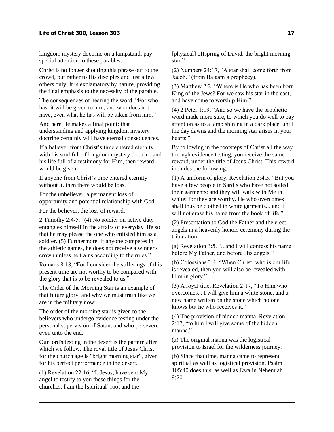kingdom mystery doctrine on a lampstand, pay special attention to these parables.

Christ is no longer shouting this phrase out to the crowd, but rather to His disciples and just a few others only. It is exclamatory by nature, providing the final emphasis to the necessity of the parable.

The consequences of hearing the word. "For who has, it will be given to him; and who does not have, even what he has will be taken from him.""

And here He makes a final point: that understanding and applying kingdom mystery doctrine certainly will have eternal consequences.

If a believer from Christ's time entered eternity with his soul full of kingdom mystery doctrine and his life full of a testimony for Him, then reward would be given.

If anyone from Christ's time entered eternity without it, then there would be loss.

For the unbeliever, a permanent loss of opportunity and potential relationship with God.

For the believer, the loss of reward.

2 Timothy 2:4-5. "(4) No soldier on active duty entangles himself in the affairs of everyday life so that he may please the one who enlisted him as a soldier. (5) Furthermore, if anyone competes in the athletic games, he does not receive a winner's crown unless he trains according to the rules."

Romans 8:18, "For I consider the sufferings of this present time are not worthy to be compared with the glory that is to be revealed to us."

The Order of the Morning Star is an example of that future glory, and why we must train like we are in the military now:

The order of the morning star is given to the believers who undergo evidence testing under the personal supervision of Satan, and who persevere even unto the end.

Our lord's testing in the desert is the pattern after which we follow. The royal title of Jesus Christ for the church age is "bright morning star", given for his perfect performance in the desert.

(1) Revelation 22:16, "I, Jesus, have sent My angel to testify to you these things for the churches. I am the [spiritual] root and the

[physical] offspring of David, the bright morning star."

(2) Numbers 24:17, "A star shall come forth from Jacob." (from Balaam's prophecy).

(3) Matthew 2:2, "Where is He who has been born King of the Jews? For we saw his star in the east, and have come to worship Him."

(4) 2 Peter 1:19, "And so we have the prophetic word made more sure, to which you do well to pay attention as to a lamp shining in a dark place, until the day dawns and the morning star arises in your hearts."

By following in the footsteps of Christ all the way through evidence testing, you receive the same reward, under the title of Jesus Christ. This reward includes the following.

(1) A uniform of glory, Revelation 3:4,5, "But you have a few people in Sardis who have not soiled their garments; and they will walk with Me in white; for they are worthy. He who overcomes shall thus be clothed in white garments... and I will not erase his name from the book of life."

(2) Presentation to God the Father and the elect angels in a heavenly honors ceremony during the tribulation.

(a) Revelation 3:5. "...and I will confess his name before My Father, and before His angels."

(b) Colossians 3:4, "When Christ, who is our life, is revealed, then you will also be revealed with Him in glory."

(3) A royal title, Revelation 2:17, "To Him who overcomes... I will give him a white stone, and a new name written on the stone which no one knows but he who receives it."

(4) The provision of hidden manna, Revelation 2:17, "to him I will give some of the hidden manna."

(a) The original manna was the logistical provision to Israel for the wilderness journey.

(b) Since that time, manna came to represent spiritual as well as logistical provision. Psalm 105:40 does this, as well as Ezra in Nehemiah 9:20.